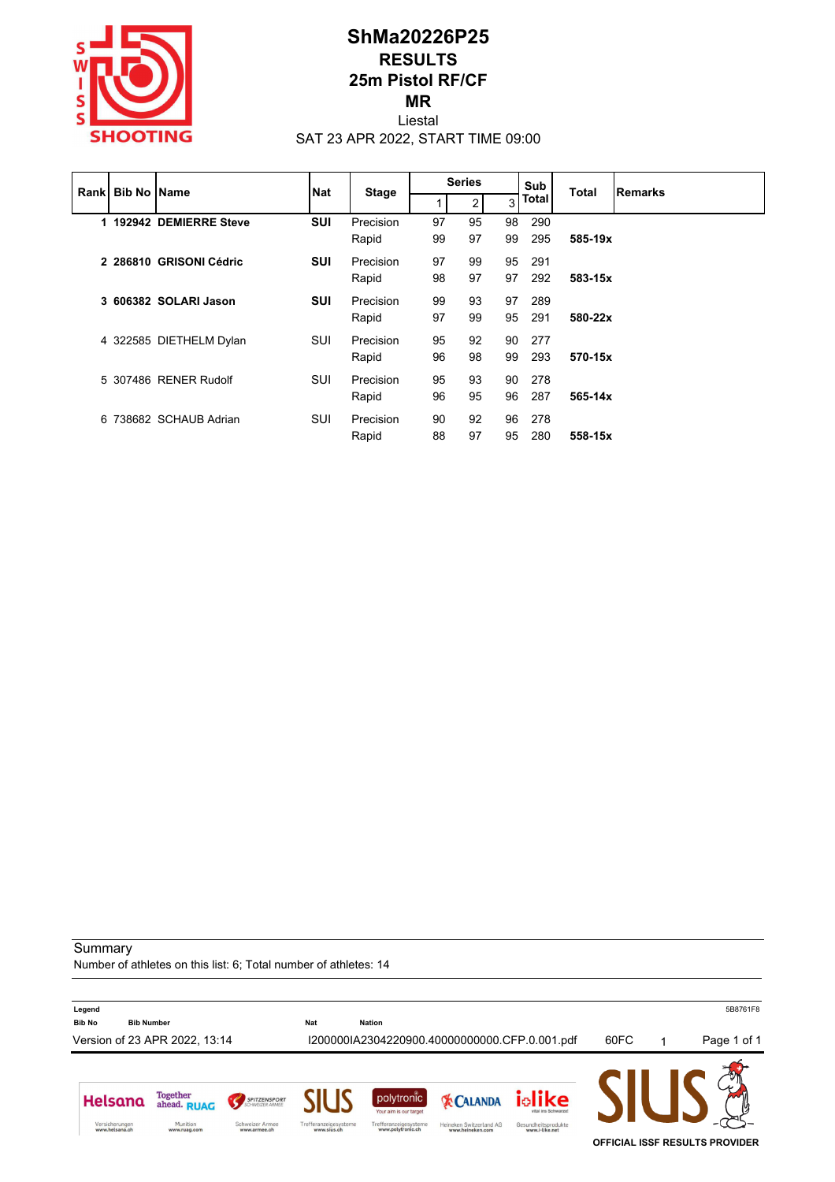

### **ShMa20226P25 RESULTS 25m Pistol RF/CF MR** Liestal

SAT 23 APR 2022, START TIME 09:00

|  | <b>Rank Bib No Name</b> |                         | <b>Nat</b> | <b>Stage</b> | <b>Series</b> |    |    | Sub<br>Total |             | <b>Remarks</b> |
|--|-------------------------|-------------------------|------------|--------------|---------------|----|----|--------------|-------------|----------------|
|  |                         |                         |            |              |               | 2  | 3  | <b>Total</b> |             |                |
|  |                         | 1 192942 DEMIERRE Steve | <b>SUI</b> | Precision    | 97            | 95 | 98 | 290          |             |                |
|  |                         |                         |            | Rapid        | 99            | 97 | 99 | 295          | 585-19x     |                |
|  |                         | 2 286810 GRISONI Cédric | <b>SUI</b> | Precision    | 97            | 99 | 95 | 291          |             |                |
|  |                         |                         |            | Rapid        | 98            | 97 | 97 | 292          | 583-15x     |                |
|  |                         | 3 606382 SOLARI Jason   | <b>SUI</b> | Precision    | 99            | 93 | 97 | 289          |             |                |
|  |                         |                         |            | Rapid        | 97            | 99 | 95 | 291          | 580-22x     |                |
|  |                         | 4 322585 DIETHELM Dylan | SUI        | Precision    | 95            | 92 | 90 | -277         |             |                |
|  |                         |                         |            | Rapid        | 96            | 98 | 99 | 293          | 570-15x     |                |
|  |                         | 5 307486 RENER Rudolf   | SUI        | Precision    | 95            | 93 | 90 | -278         |             |                |
|  |                         |                         |            | Rapid        | 96            | 95 | 96 | 287          | $565 - 14x$ |                |
|  |                         | 6 738682 SCHAUB Adrian  | SUI        | Precision    | 90            | 92 | 96 | 278          |             |                |
|  |                         |                         |            | Rapid        | 88            | 97 | 95 | 280          | 558-15x     |                |

**Summary** 

Number of athletes on this list: 6; Total number of athletes: 14

**Legend** 5B8761F8 **Bib No Bib Number Nat Nation** Version of 23 APR 2022, 13:14 I200000IA2304220900.40000000000.CFP.0.001.pdf 60FC 1 Page 1 of 1 Helsana Together<br>ahead. RUAG iolike polytronic SPITZENSPORT **EX CALANDA** Your aim is our targe Versicherungen<br>www.helsana.ch Munition<br>www.ruag.com Schweizer Armee<br>www.armee.ch Trefferanzeigesysteme<br>www.sius.ch Trefferanzeigesysteme<br>www.polytronic.ch Heineken Switzerland AG<br>www.heineken.com Gesundheitsprodukte<br>www.i-like.net **OFFICIAL ISSF RESULTS PROVIDER**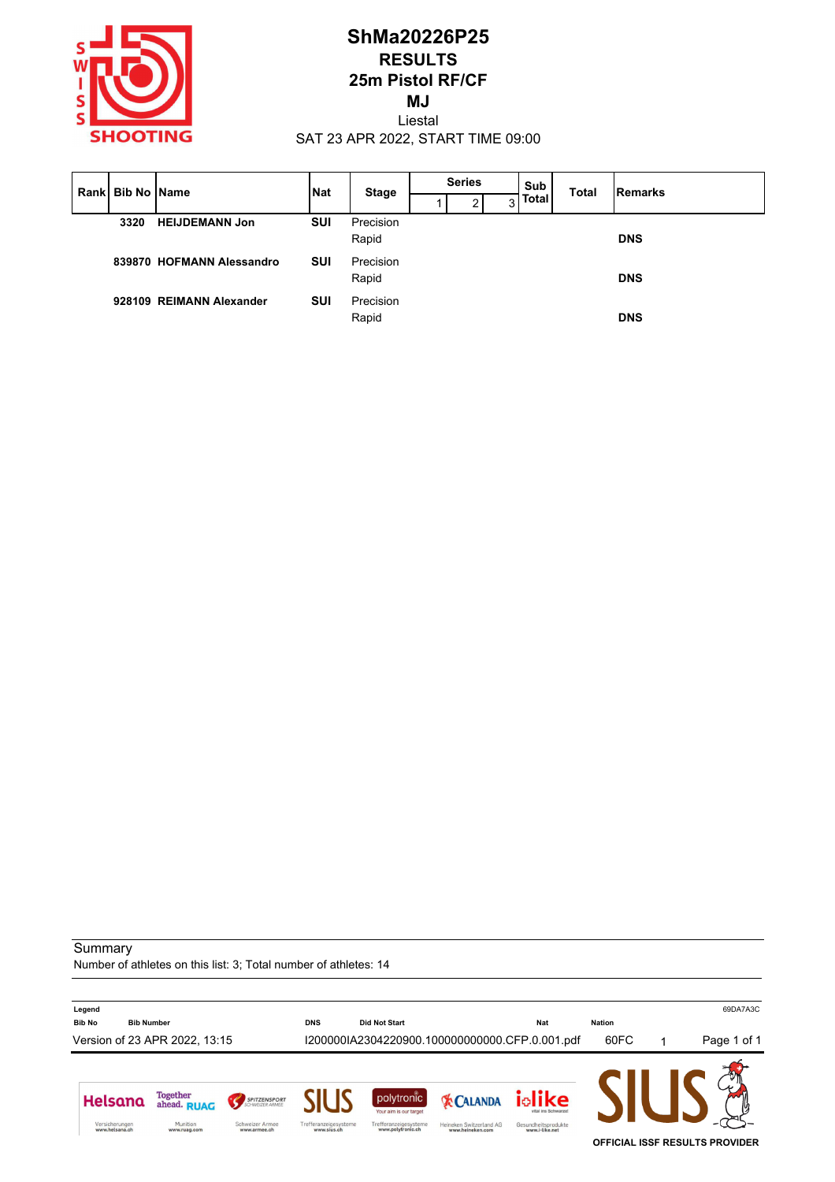

## **ShMa20226P25 RESULTS 25m Pistol RF/CF MJ** Liestal

SAT 23 APR 2022, START TIME 09:00

|      | Rank Bib No Name          | <b>Nat</b> | <b>Stage</b>       | <b>Series</b> |   | Sub          | <b>Total</b> | Remarks    |
|------|---------------------------|------------|--------------------|---------------|---|--------------|--------------|------------|
|      |                           |            |                    | ◠             | 3 | <b>Total</b> |              |            |
| 3320 | <b>HEIJDEMANN Jon</b>     | SUI        | Precision<br>Rapid |               |   |              |              | <b>DNS</b> |
|      | 839870 HOFMANN Alessandro | SUI        | Precision<br>Rapid |               |   |              |              | <b>DNS</b> |
|      | 928109 REIMANN Alexander  | SUI        | Precision<br>Rapid |               |   |              |              | <b>DNS</b> |

**Summary** 

Number of athletes on this list: 3; Total number of athletes: 14

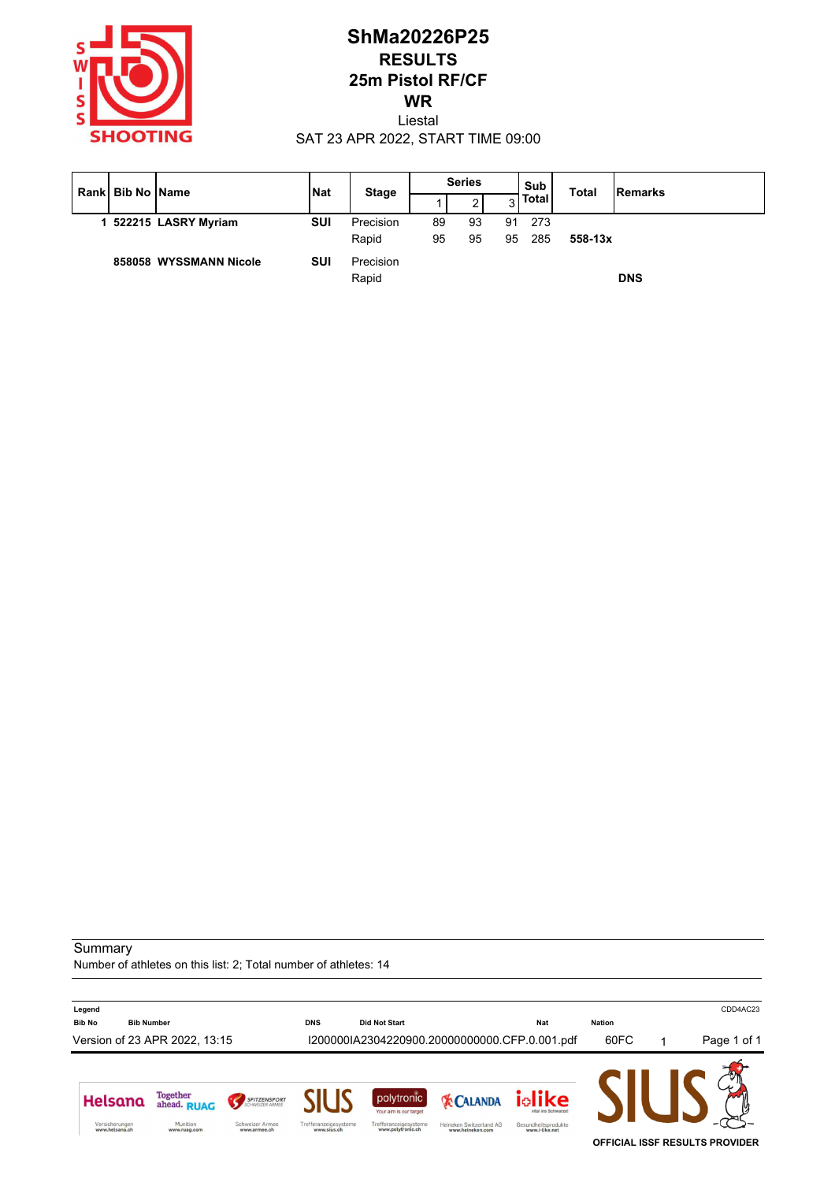

# **ShMa20226P25 RESULTS 25m Pistol RF/CF WR**

Liestal SAT 23 APR 2022, START TIME 09:00

| Rankl | <b>Bib No IName</b> |                        | <b>Nat</b> | <b>Stage</b>       | <b>Series</b> |    |    | Sub          | <b>Total</b> | <b>IRemarks</b> |  |
|-------|---------------------|------------------------|------------|--------------------|---------------|----|----|--------------|--------------|-----------------|--|
|       |                     |                        |            |                    |               | 2  | 3  | <b>Total</b> |              |                 |  |
|       |                     | 522215 LASRY Myriam    | <b>SUI</b> | Precision          | 89            | 93 | 91 | 273          |              |                 |  |
|       |                     |                        |            | Rapid              | 95            |    | 95 | 285          | $558 - 13x$  |                 |  |
|       |                     | 858058 WYSSMANN Nicole | SUI        | Precision<br>Rapid |               |    |    |              |              | <b>DNS</b>      |  |

#### **Summary**

Number of athletes on this list: 2; Total number of athletes: 14

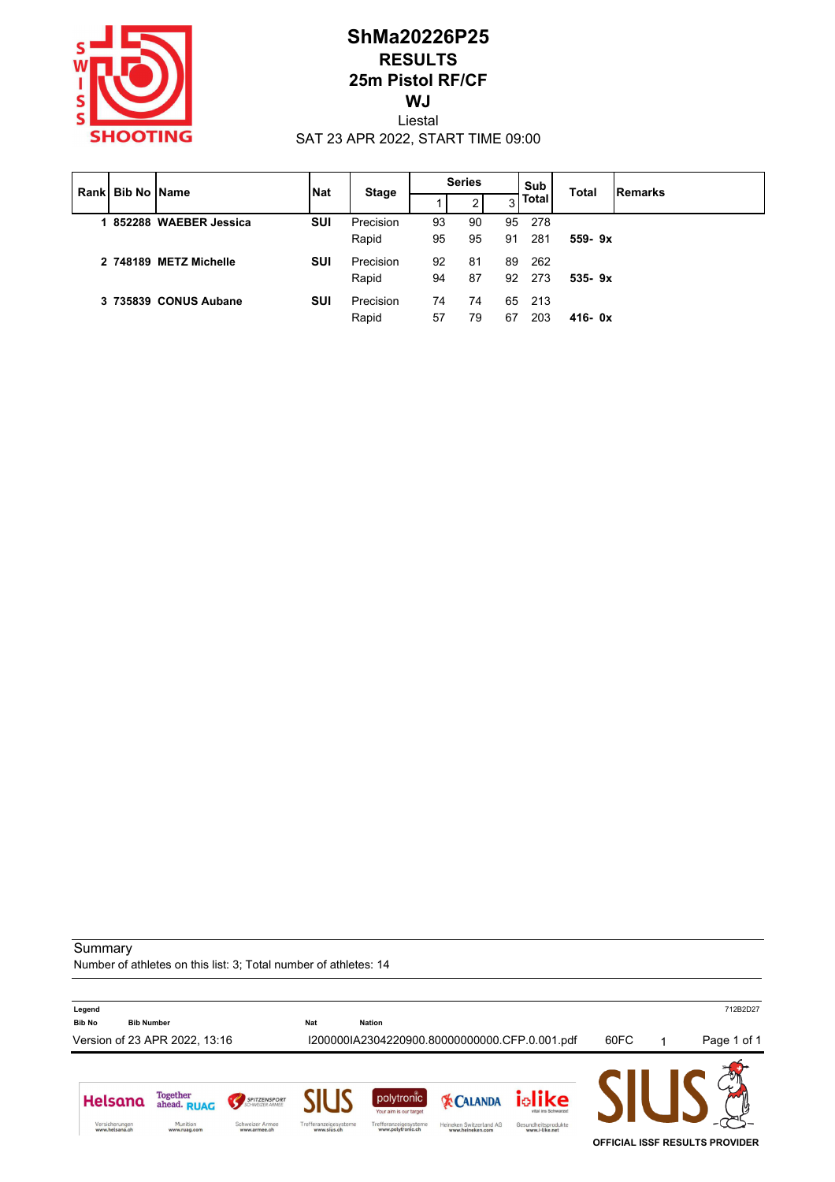

## **ShMa20226P25 RESULTS 25m Pistol RF/CF WJ** Liestal

SAT 23 APR 2022, START TIME 09:00

| Rankl |  | <b>Bib No IName</b>     | <b>Nat</b> | <b>Stage</b> | <b>Series</b> |    |    | Sub<br><b>Total</b> | Remarks    |  |
|-------|--|-------------------------|------------|--------------|---------------|----|----|---------------------|------------|--|
|       |  |                         |            |              |               |    | 3  | <b>Total</b>        |            |  |
|       |  | 1 852288 WAEBER Jessica | <b>SUI</b> | Precision    | 93            | 90 | 95 | - 278               |            |  |
|       |  |                         |            | Rapid        | 95            | 95 | 91 | 281                 | $559 - 9x$ |  |
|       |  | 2 748189 METZ Michelle  | <b>SUI</b> | Precision    | 92            | 81 | 89 | -262                |            |  |
|       |  |                         |            | Rapid        | 94            | 87 | 92 | -273                | $535 - 9x$ |  |
|       |  | 3 735839 CONUS Aubane   | SUI        | Precision    | 74            | 74 | 65 | - 213               |            |  |
|       |  |                         |            | Rapid        | 57            | 79 | 67 | 203                 | $416 - 0x$ |  |
|       |  |                         |            |              |               |    |    |                     |            |  |

**Summary** 

Number of athletes on this list: 3; Total number of athletes: 14

**Legend** 712B2D27 **Bib No Bib Number Nat Nation** Version of 23 APR 2022, 13:16 I200000IA2304220900.80000000000.CFP.0.001.pdf 60FC 1 Page 1 of 1 Helsana Together<br>ahead. RUAG iolike polytronic SPITZENSPORT **EX CALANDA** Your aim is our targe Versicherungen<br>www.helsana.ch Munition<br>www.ruag.com Schweizer Armee<br>www.armee.ch Trefferanzeigesysteme<br>www.sius.ch Trefferanzeigesysteme<br>www.polytronic.ch Heineken Switzerland AG<br>www.heineken.com Gesundheitsprodukte<br>www.i-like.net **OFFICIAL ISSF RESULTS PROVIDER**